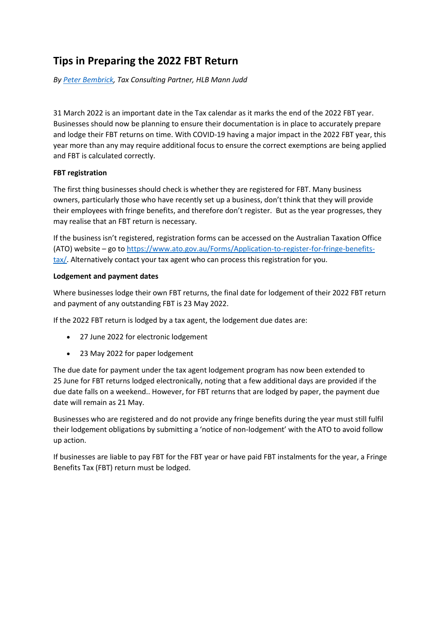# **Tips in Preparing the 2022 FBT Return**

*By [Peter Bembrick,](https://hlb.com.au/our-people/peter-bembrick/) Tax Consulting Partner, HLB Mann Judd*

31 March 2022 is an important date in the Tax calendar as it marks the end of the 2022 FBT year. Businesses should now be planning to ensure their documentation is in place to accurately prepare and lodge their FBT returns on time. With COVID-19 having a major impact in the 2022 FBT year, this year more than any may require additional focus to ensure the correct exemptions are being applied and FBT is calculated correctly.

#### **FBT registration**

The first thing businesses should check is whether they are registered for FBT. Many business owners, particularly those who have recently set up a business, don't think that they will provide their employees with fringe benefits, and therefore don't register. But as the year progresses, they may realise that an FBT return is necessary.

If the business isn't registered, registration forms can be accessed on the Australian Taxation Office (ATO) website – go to [https://www.ato.gov.au/Forms/Application-to-register-for-fringe-benefits](https://www.ato.gov.au/Forms/Application-to-register-for-fringe-benefits-tax/)[tax/.](https://www.ato.gov.au/Forms/Application-to-register-for-fringe-benefits-tax/) Alternatively contact your tax agent who can process this registration for you.

#### **Lodgement and payment dates**

Where businesses lodge their own FBT returns, the final date for lodgement of their 2022 FBT return and payment of any outstanding FBT is 23 May 2022.

If the 2022 FBT return is lodged by a tax agent, the lodgement due dates are:

- 27 June 2022 for electronic lodgement
- 23 May 2022 for paper lodgement

The due date for payment under the tax agent lodgement program has now been extended to 25 June for FBT returns lodged electronically, noting that a few additional days are provided if the due date falls on a weekend.. However, for FBT returns that are lodged by paper, the payment due date will remain as 21 May.

Businesses who are registered and do not provide any fringe benefits during the year must still fulfil their lodgement obligations by submitting a 'notice of non-lodgement' with the ATO to avoid follow up action.

If businesses are liable to pay FBT for the FBT year or have paid FBT instalments for the year, a Fringe Benefits Tax (FBT) return must be lodged.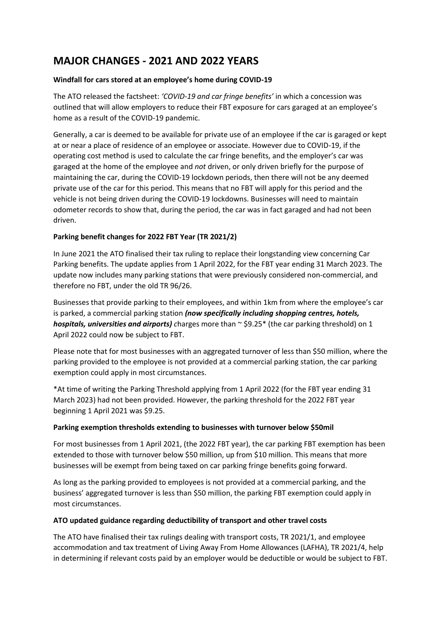# **MAJOR CHANGES - 2021 AND 2022 YEARS**

# **Windfall for cars stored at an employee's home during COVID-19**

The ATO released the factsheet: *'COVID-19 and car fringe benefits'* in which a concession was outlined that will allow employers to reduce their FBT exposure for cars garaged at an employee's home as a result of the COVID-19 pandemic.

Generally, a car is deemed to be available for private use of an employee if the car is garaged or kept at or near a place of residence of an employee or associate. However due to COVID-19, if the operating cost method is used to calculate the car fringe benefits, and the employer's car was garaged at the home of the employee and *not* driven, or only driven briefly for the purpose of maintaining the car, during the COVID-19 lockdown periods, then there will not be any deemed private use of the car for this period. This means that no FBT will apply for this period and the vehicle is not being driven during the COVID-19 lockdowns. Businesses will need to maintain odometer records to show that, during the period, the car was in fact garaged and had not been driven.

# **Parking benefit changes for 2022 FBT Year (TR 2021/2)**

In June 2021 the ATO finalised their tax ruling to replace their longstanding view concerning Car Parking benefits. The update applies from 1 April 2022, for the FBT year ending 31 March 2023. The update now includes many parking stations that were previously considered non-commercial, and therefore no FBT, under the old TR 96/26.

Businesses that provide parking to their employees, and within 1km from where the employee's car is parked, a commercial parking station *(now specifically including shopping centres, hotels, hospitals, universities and airports) charges more than*  $\sim$  \$9.25<sup>\*</sup> (the car parking threshold) on 1 April 2022 could now be subject to FBT.

Please note that for most businesses with an aggregated turnover of less than \$50 million, where the parking provided to the employee is not provided at a commercial parking station, the car parking exemption could apply in most circumstances.

\*At time of writing the Parking Threshold applying from 1 April 2022 (for the FBT year ending 31 March 2023) had not been provided. However, the parking threshold for the 2022 FBT year beginning 1 April 2021 was \$9.25.

# **Parking exemption thresholds extending to businesses with turnover below \$50mil**

For most businesses from 1 April 2021, (the 2022 FBT year), the car parking FBT exemption has been extended to those with turnover below \$50 million, up from \$10 million. This means that more businesses will be exempt from being taxed on car parking fringe benefits going forward.

As long as the parking provided to employees is not provided at a commercial parking, and the business' aggregated turnover is less than \$50 million, the parking FBT exemption could apply in most circumstances.

# **ATO updated guidance regarding deductibility of transport and other travel costs**

The ATO have finalised their tax rulings dealing with transport costs, TR 2021/1, and employee accommodation and tax treatment of Living Away From Home Allowances (LAFHA), TR 2021/4, help in determining if relevant costs paid by an employer would be deductible or would be subject to FBT.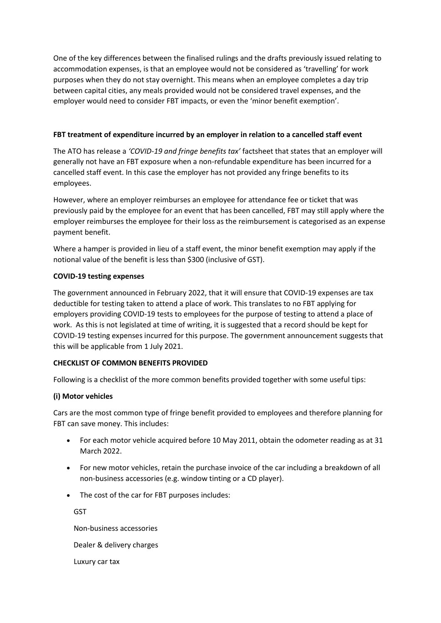One of the key differences between the finalised rulings and the drafts previously issued relating to accommodation expenses, is that an employee would not be considered as 'travelling' for work purposes when they do not stay overnight. This means when an employee completes a day trip between capital cities, any meals provided would not be considered travel expenses, and the employer would need to consider FBT impacts, or even the 'minor benefit exemption'.

#### **FBT treatment of expenditure incurred by an employer in relation to a cancelled staff event**

The ATO has release a *'COVID-19 and fringe benefits tax'* factsheet that states that an employer will generally not have an FBT exposure when a non-refundable expenditure has been incurred for a cancelled staff event. In this case the employer has not provided any fringe benefits to its employees.

However, where an employer reimburses an employee for attendance fee or ticket that was previously paid by the employee for an event that has been cancelled, FBT may still apply where the employer reimburses the employee for their loss as the reimbursement is categorised as an expense payment benefit.

Where a hamper is provided in lieu of a staff event, the minor benefit exemption may apply if the notional value of the benefit is less than \$300 (inclusive of GST).

#### **COVID-19 testing expenses**

The government announced in February 2022, that it will ensure that COVID-19 expenses are tax deductible for testing taken to attend a place of work. This translates to no FBT applying for employers providing COVID-19 tests to employees for the purpose of testing to attend a place of work. As this is not legislated at time of writing, it is suggested that a record should be kept for COVID-19 testing expenses incurred for this purpose. The government announcement suggests that this will be applicable from 1 July 2021.

# **CHECKLIST OF COMMON BENEFITS PROVIDED**

Following is a checklist of the more common benefits provided together with some useful tips:

# **(i) Motor vehicles**

Cars are the most common type of fringe benefit provided to employees and therefore planning for FBT can save money. This includes:

- For each motor vehicle acquired before 10 May 2011, obtain the odometer reading as at 31 March 2022.
- For new motor vehicles, retain the purchase invoice of the car including a breakdown of all non-business accessories (e.g. window tinting or a CD player).
- The cost of the car for FBT purposes includes:

**GST** Non-business accessories Dealer & delivery charges Luxury car tax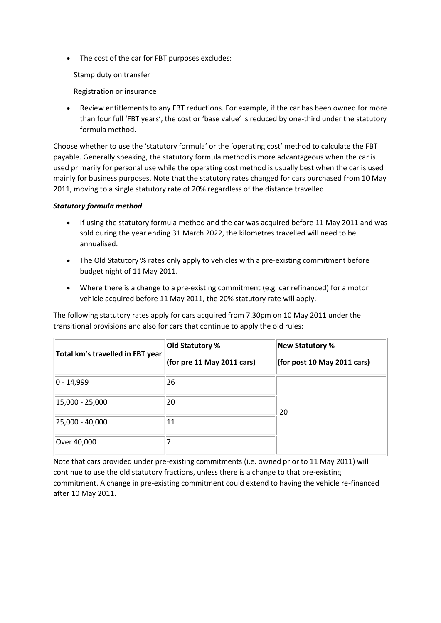• The cost of the car for FBT purposes excludes:

Stamp duty on transfer

Registration or insurance

 Review entitlements to any FBT reductions. For example, if the car has been owned for more than four full 'FBT years', the cost or 'base value' is reduced by one-third under the statutory formula method.

Choose whether to use the 'statutory formula' or the 'operating cost' method to calculate the FBT payable. Generally speaking, the statutory formula method is more advantageous when the car is used primarily for personal use while the operating cost method is usually best when the car is used mainly for business purposes. Note that the statutory rates changed for cars purchased from 10 May 2011, moving to a single statutory rate of 20% regardless of the distance travelled.

# *Statutory formula method*

- If using the statutory formula method and the car was acquired before 11 May 2011 and was sold during the year ending 31 March 2022, the kilometres travelled will need to be annualised.
- The Old Statutory % rates only apply to vehicles with a pre-existing commitment before budget night of 11 May 2011.
- Where there is a change to a pre-existing commitment (e.g. car refinanced) for a motor vehicle acquired before 11 May 2011, the 20% statutory rate will apply.

The following statutory rates apply for cars acquired from 7.30pm on 10 May 2011 under the transitional provisions and also for cars that continue to apply the old rules:

| Total km's travelled in FBT year | Old Statutory %<br>(for pre 11 May 2011 cars) | <b>New Statutory %</b><br>(for post 10 May 2011 cars) |
|----------------------------------|-----------------------------------------------|-------------------------------------------------------|
| $ 0 - 14,999 $                   | 26                                            |                                                       |
| 15,000 - 25,000                  | 20                                            | 20                                                    |
| 25,000 - 40,000                  | 11                                            |                                                       |
| Over 40,000                      |                                               |                                                       |

Note that cars provided under pre-existing commitments (i.e. owned prior to 11 May 2011) will continue to use the old statutory fractions, unless there is a change to that pre-existing commitment. A change in pre-existing commitment could extend to having the vehicle re-financed after 10 May 2011.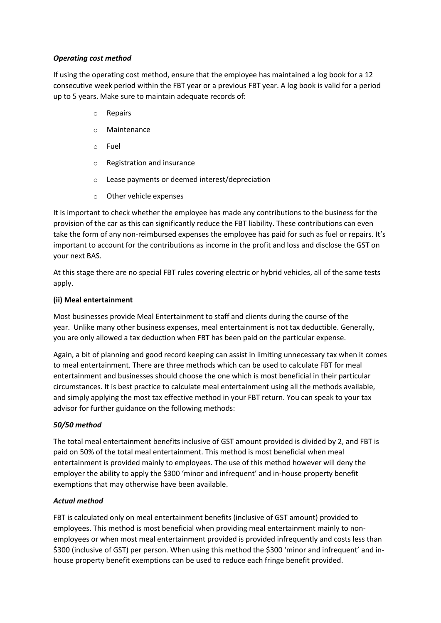#### *Operating cost method*

If using the operating cost method, ensure that the employee has maintained a log book for a 12 consecutive week period within the FBT year or a previous FBT year. A log book is valid for a period up to 5 years. Make sure to maintain adequate records of:

- o Repairs
- o Maintenance
- o Fuel
- o Registration and insurance
- o Lease payments or deemed interest/depreciation
- o Other vehicle expenses

It is important to check whether the employee has made any contributions to the business for the provision of the car as this can significantly reduce the FBT liability. These contributions can even take the form of any non-reimbursed expenses the employee has paid for such as fuel or repairs. It's important to account for the contributions as income in the profit and loss and disclose the GST on your next BAS.

At this stage there are no special FBT rules covering electric or hybrid vehicles, all of the same tests apply.

#### **(ii) Meal entertainment**

Most businesses provide Meal Entertainment to staff and clients during the course of the year. Unlike many other business expenses, meal entertainment is not tax deductible. Generally, you are only allowed a tax deduction when FBT has been paid on the particular expense.

Again, a bit of planning and good record keeping can assist in limiting unnecessary tax when it comes to meal entertainment. There are three methods which can be used to calculate FBT for meal entertainment and businesses should choose the one which is most beneficial in their particular circumstances. It is best practice to calculate meal entertainment using all the methods available, and simply applying the most tax effective method in your FBT return. You can speak to your tax advisor for further guidance on the following methods:

#### *50/50 method*

The total meal entertainment benefits inclusive of GST amount provided is divided by 2, and FBT is paid on 50% of the total meal entertainment. This method is most beneficial when meal entertainment is provided mainly to employees. The use of this method however will deny the employer the ability to apply the \$300 'minor and infrequent' and in-house property benefit exemptions that may otherwise have been available.

#### *Actual method*

FBT is calculated only on meal entertainment benefits (inclusive of GST amount) provided to employees. This method is most beneficial when providing meal entertainment mainly to nonemployees or when most meal entertainment provided is provided infrequently and costs less than \$300 (inclusive of GST) per person. When using this method the \$300 'minor and infrequent' and inhouse property benefit exemptions can be used to reduce each fringe benefit provided.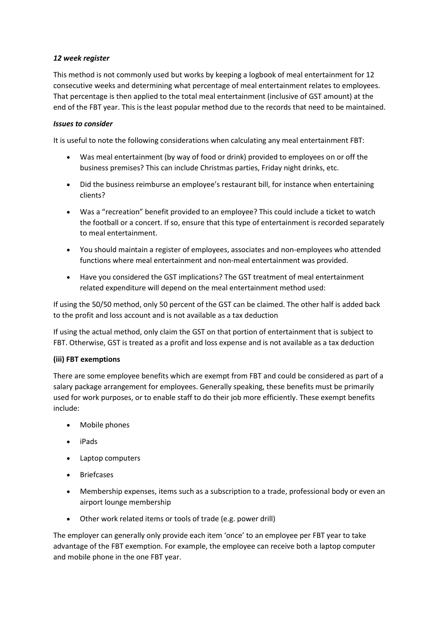# *12 week register*

This method is not commonly used but works by keeping a logbook of meal entertainment for 12 consecutive weeks and determining what percentage of meal entertainment relates to employees. That percentage is then applied to the total meal entertainment (inclusive of GST amount) at the end of the FBT year. This is the least popular method due to the records that need to be maintained.

# *Issues to consider*

It is useful to note the following considerations when calculating any meal entertainment FBT:

- Was meal entertainment (by way of food or drink) provided to employees on or off the business premises? This can include Christmas parties, Friday night drinks, etc.
- Did the business reimburse an employee's restaurant bill, for instance when entertaining clients?
- Was a "recreation" benefit provided to an employee? This could include a ticket to watch the football or a concert. If so, ensure that this type of entertainment is recorded separately to meal entertainment.
- You should maintain a register of employees, associates and non-employees who attended functions where meal entertainment and non-meal entertainment was provided.
- Have you considered the GST implications? The GST treatment of meal entertainment related expenditure will depend on the meal entertainment method used:

If using the 50/50 method, only 50 percent of the GST can be claimed. The other half is added back to the profit and loss account and is not available as a tax deduction

If using the actual method, only claim the GST on that portion of entertainment that is subject to FBT. Otherwise, GST is treated as a profit and loss expense and is not available as a tax deduction

# **(iii) FBT exemptions**

There are some employee benefits which are exempt from FBT and could be considered as part of a salary package arrangement for employees. Generally speaking, these benefits must be primarily used for work purposes, or to enable staff to do their job more efficiently. These exempt benefits include:

- Mobile phones
- iPads
- Laptop computers
- Briefcases
- Membership expenses, items such as a subscription to a trade, professional body or even an airport lounge membership
- Other work related items or tools of trade (e.g. power drill)

The employer can generally only provide each item 'once' to an employee per FBT year to take advantage of the FBT exemption. For example, the employee can receive both a laptop computer and mobile phone in the one FBT year.